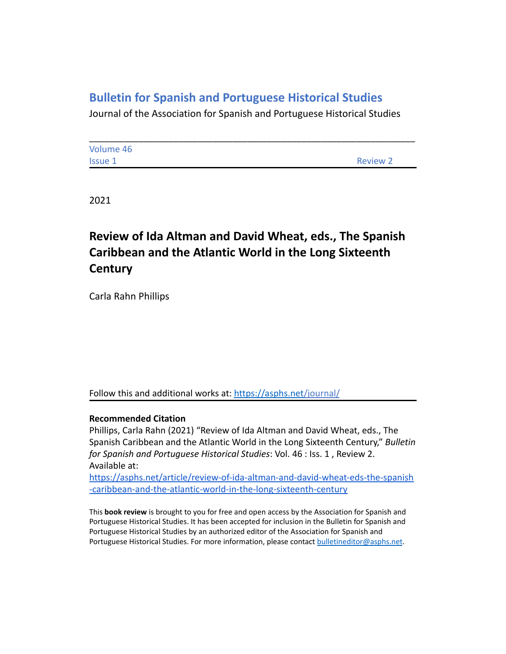## **Bulletin for Spanish and Portuguese Historical Studies**

Journal of the Association for Spanish and Portuguese Historical Studies

| Volume 46 |                 |
|-----------|-----------------|
| Issue 1   | <b>Review 2</b> |

2021

# **Review of Ida Altman and David Wheat, eds., The Spanish Caribbean and the Atlantic World in the Long Sixteenth Century**

Carla Rahn Phillips

Follow this and additional works at: <https://asphs.net/journal/>

#### **Recommended Citation**

Phillips, Carla Rahn (2021) "Review of Ida Altman and David Wheat, eds., The Spanish Caribbean and the Atlantic World in the Long Sixteenth Century," *Bulletin for Spanish and Portuguese Historical Studies*: Vol. 46 : Iss. 1 , Review 2. Available at:

[https://asphs.net/article/review-of-ida-altman-and-david-wheat-eds-the-spanish](https://asphs.net/article/review-of-mayte-green-marcado-visions-of-deliverance-moriscos-and-the-politics-of-prophecy-in-the-early-modern-mediterranean) [-caribbean-and-the-atlantic-world-in-the-long-sixteenth-century](https://asphs.net/article/review-of-mayte-green-marcado-visions-of-deliverance-moriscos-and-the-politics-of-prophecy-in-the-early-modern-mediterranean)

This **book review** is brought to you for free and open access by the Association for Spanish and Portuguese Historical Studies. It has been accepted for inclusion in the Bulletin for Spanish and Portuguese Historical Studies by an authorized editor of the Association for Spanish and Portuguese Historical Studies. For more information, please contact [bulletineditor@asphs.net](mailto:bulletineditor@asphs.net).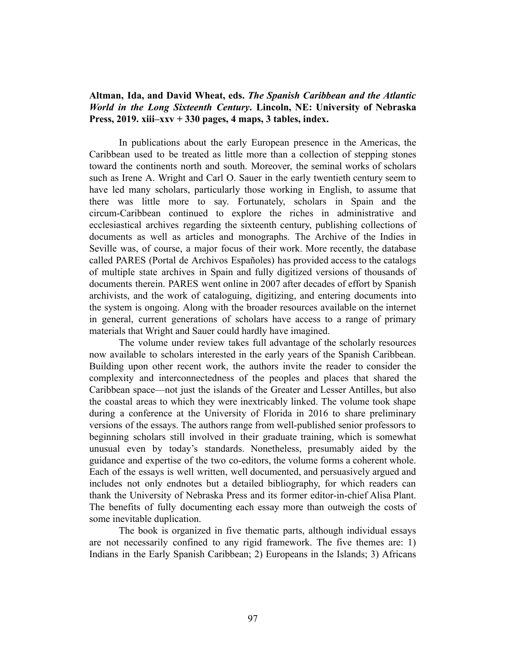### **Altman, Ida, and David Wheat, eds.** *The Spanish Caribbean and the Atlantic World in the Long Sixteenth Century***. Lincoln, NE: University of Nebraska Press, 2019. xiii–xxv + 330 pages, 4 maps, 3 tables, index.**

In publications about the early European presence in the Americas, the Caribbean used to be treated as little more than a collection of stepping stones toward the continents north and south. Moreover, the seminal works of scholars such as Irene A. Wright and Carl O. Sauer in the early twentieth century seem to have led many scholars, particularly those working in English, to assume that there was little more to say. Fortunately, scholars in Spain and the circum-Caribbean continued to explore the riches in administrative and ecclesiastical archives regarding the sixteenth century, publishing collections of documents as well as articles and monographs. The Archive of the Indies in Seville was, of course, a major focus of their work. More recently, the database called PARES (Portal de Archivos Españoles) has provided access to the catalogs of multiple state archives in Spain and fully digitized versions of thousands of documents therein. PARES went online in 2007 after decades of effort by Spanish archivists, and the work of cataloguing, digitizing, and entering documents into the system is ongoing. Along with the broader resources available on the internet in general, current generations of scholars have access to a range of primary materials that Wright and Sauer could hardly have imagined.

The volume under review takes full advantage of the scholarly resources now available to scholars interested in the early years of the Spanish Caribbean. Building upon other recent work, the authors invite the reader to consider the complexity and interconnectedness of the peoples and places that shared the Caribbean space—not just the islands of the Greater and Lesser Antilles, but also the coastal areas to which they were inextricably linked. The volume took shape during a conference at the University of Florida in 2016 to share preliminary versions of the essays. The authors range from well-published senior professors to beginning scholars still involved in their graduate training, which is somewhat unusual even by today's standards. Nonetheless, presumably aided by the guidance and expertise of the two co-editors, the volume forms a coherent whole. Each of the essays is well written, well documented, and persuasively argued and includes not only endnotes but a detailed bibliography, for which readers can thank the University of Nebraska Press and its former editor-in-chief Alisa Plant. The benefits of fully documenting each essay more than outweigh the costs of some inevitable duplication.

The book is organized in five thematic parts, although individual essays are not necessarily confined to any rigid framework. The five themes are: 1) Indians in the Early Spanish Caribbean; 2) Europeans in the Islands; 3) Africans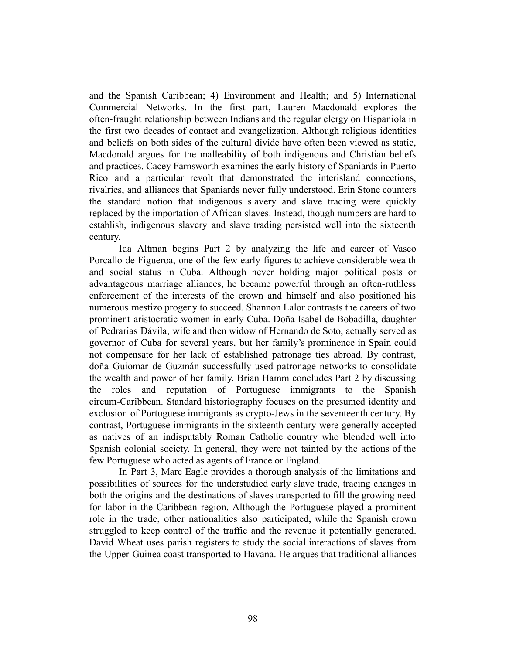and the Spanish Caribbean; 4) Environment and Health; and 5) International Commercial Networks. In the first part, Lauren Macdonald explores the often-fraught relationship between Indians and the regular clergy on Hispaniola in the first two decades of contact and evangelization. Although religious identities and beliefs on both sides of the cultural divide have often been viewed as static, Macdonald argues for the malleability of both indigenous and Christian beliefs and practices. Cacey Farnsworth examines the early history of Spaniards in Puerto Rico and a particular revolt that demonstrated the interisland connections, rivalries, and alliances that Spaniards never fully understood. Erin Stone counters the standard notion that indigenous slavery and slave trading were quickly replaced by the importation of African slaves. Instead, though numbers are hard to establish, indigenous slavery and slave trading persisted well into the sixteenth century.

Ida Altman begins Part 2 by analyzing the life and career of Vasco Porcallo de Figueroa, one of the few early figures to achieve considerable wealth and social status in Cuba. Although never holding major political posts or advantageous marriage alliances, he became powerful through an often-ruthless enforcement of the interests of the crown and himself and also positioned his numerous mestizo progeny to succeed. Shannon Lalor contrasts the careers of two prominent aristocratic women in early Cuba. Doña Isabel de Bobadilla, daughter of Pedrarias Dávila, wife and then widow of Hernando de Soto, actually served as governor of Cuba for several years, but her family's prominence in Spain could not compensate for her lack of established patronage ties abroad. By contrast, doña Guiomar de Guzmán successfully used patronage networks to consolidate the wealth and power of her family. Brian Hamm concludes Part 2 by discussing the roles and reputation of Portuguese immigrants to the Spanish circum-Caribbean. Standard historiography focuses on the presumed identity and exclusion of Portuguese immigrants as crypto-Jews in the seventeenth century. By contrast, Portuguese immigrants in the sixteenth century were generally accepted as natives of an indisputably Roman Catholic country who blended well into Spanish colonial society. In general, they were not tainted by the actions of the few Portuguese who acted as agents of France or England.

In Part 3, Marc Eagle provides a thorough analysis of the limitations and possibilities of sources for the understudied early slave trade, tracing changes in both the origins and the destinations of slaves transported to fill the growing need for labor in the Caribbean region. Although the Portuguese played a prominent role in the trade, other nationalities also participated, while the Spanish crown struggled to keep control of the traffic and the revenue it potentially generated. David Wheat uses parish registers to study the social interactions of slaves from the Upper Guinea coast transported to Havana. He argues that traditional alliances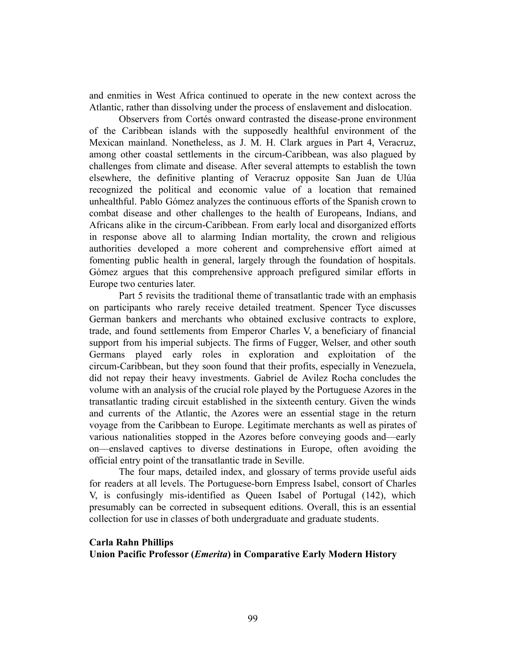and enmities in West Africa continued to operate in the new context across the Atlantic, rather than dissolving under the process of enslavement and dislocation.

Observers from Cortés onward contrasted the disease-prone environment of the Caribbean islands with the supposedly healthful environment of the Mexican mainland. Nonetheless, as J. M. H. Clark argues in Part 4, Veracruz, among other coastal settlements in the circum-Caribbean, was also plagued by challenges from climate and disease. After several attempts to establish the town elsewhere, the definitive planting of Veracruz opposite San Juan de Ulúa recognized the political and economic value of a location that remained unhealthful. Pablo Gómez analyzes the continuous efforts of the Spanish crown to combat disease and other challenges to the health of Europeans, Indians, and Africans alike in the circum-Caribbean. From early local and disorganized efforts in response above all to alarming Indian mortality, the crown and religious authorities developed a more coherent and comprehensive effort aimed at fomenting public health in general, largely through the foundation of hospitals. Gómez argues that this comprehensive approach prefigured similar efforts in Europe two centuries later.

Part 5 revisits the traditional theme of transatlantic trade with an emphasis on participants who rarely receive detailed treatment. Spencer Tyce discusses German bankers and merchants who obtained exclusive contracts to explore, trade, and found settlements from Emperor Charles V, a beneficiary of financial support from his imperial subjects. The firms of Fugger, Welser, and other south Germans played early roles in exploration and exploitation of the circum-Caribbean, but they soon found that their profits, especially in Venezuela, did not repay their heavy investments. Gabriel de Avilez Rocha concludes the volume with an analysis of the crucial role played by the Portuguese Azores in the transatlantic trading circuit established in the sixteenth century. Given the winds and currents of the Atlantic, the Azores were an essential stage in the return voyage from the Caribbean to Europe. Legitimate merchants as well as pirates of various nationalities stopped in the Azores before conveying goods and—early on—enslaved captives to diverse destinations in Europe, often avoiding the official entry point of the transatlantic trade in Seville.

The four maps, detailed index, and glossary of terms provide useful aids for readers at all levels. The Portuguese-born Empress Isabel, consort of Charles V, is confusingly mis-identified as Queen Isabel of Portugal (142), which presumably can be corrected in subsequent editions. Overall, this is an essential collection for use in classes of both undergraduate and graduate students.

#### **Carla Rahn Phillips**

**Union Pacific Professor (***Emerita***) in Comparative Early Modern History**